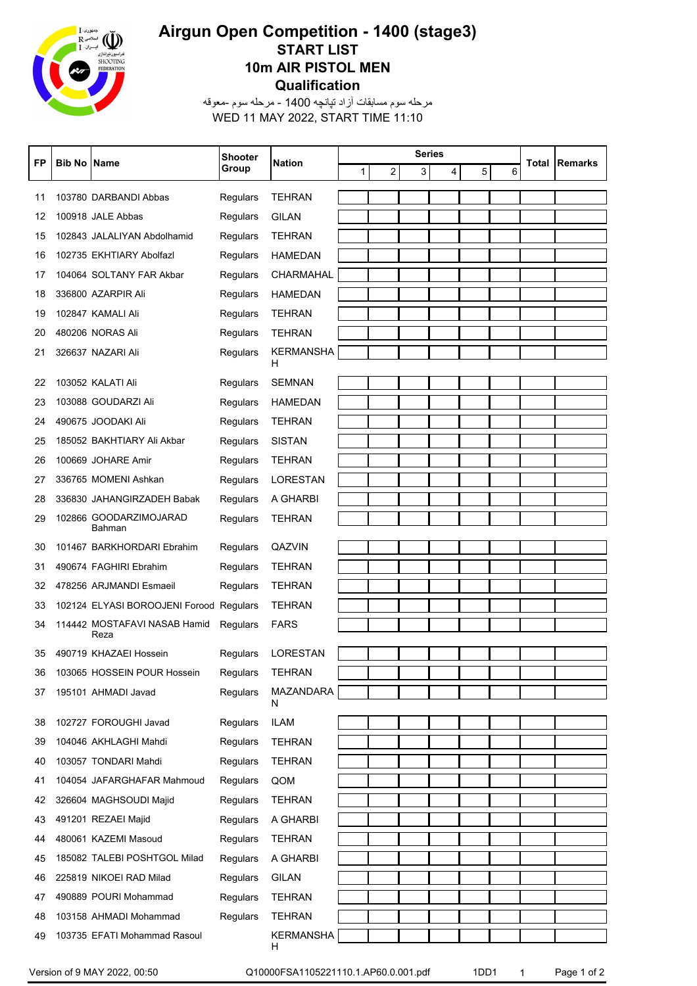

## **Qualification 10m AIR PISTOL MEN START LIST Airgun Open Competition - 1400 (stage3)**

WED 11 MAY 2022, START TIME 11:10 مرحله سوم مسابقات آزاد تپانچه 1400 - مرحله سوم -معوقه

| FP | <b>Bib No Name</b> |                                         | Shooter  | <b>Nation</b>    | <b>Series</b><br>1 <sup>1</sup><br>$\overline{c}$<br>3<br>4<br>5 |  |  |   | Total | Remarks |  |
|----|--------------------|-----------------------------------------|----------|------------------|------------------------------------------------------------------|--|--|---|-------|---------|--|
|    |                    |                                         | Group    |                  |                                                                  |  |  | 6 |       |         |  |
| 11 |                    | 103780 DARBANDI Abbas                   | Regulars | <b>TEHRAN</b>    |                                                                  |  |  |   |       |         |  |
| 12 |                    | 100918 JALE Abbas                       | Regulars | <b>GILAN</b>     |                                                                  |  |  |   |       |         |  |
| 15 |                    | 102843 JALALIYAN Abdolhamid             | Regulars | <b>TEHRAN</b>    |                                                                  |  |  |   |       |         |  |
| 16 |                    | 102735 EKHTIARY Abolfazl                | Regulars | <b>HAMEDAN</b>   |                                                                  |  |  |   |       |         |  |
| 17 |                    | 104064 SOLTANY FAR Akbar                | Regulars | CHARMAHAL        |                                                                  |  |  |   |       |         |  |
| 18 |                    | 336800 AZARPIR Ali                      | Regulars | HAMEDAN          |                                                                  |  |  |   |       |         |  |
| 19 |                    | 102847 KAMALI Ali                       | Regulars | <b>TEHRAN</b>    |                                                                  |  |  |   |       |         |  |
| 20 |                    | 480206 NORAS Ali                        | Regulars | <b>TEHRAN</b>    |                                                                  |  |  |   |       |         |  |
| 21 |                    | 326637 NAZARI Ali                       | Regulars | <b>KERMANSHA</b> |                                                                  |  |  |   |       |         |  |
|    |                    |                                         |          | н                |                                                                  |  |  |   |       |         |  |
| 22 |                    | 103052 KALATI Ali                       | Regulars | <b>SEMNAN</b>    |                                                                  |  |  |   |       |         |  |
| 23 |                    | 103088 GOUDARZI Ali                     | Regulars | <b>HAMEDAN</b>   |                                                                  |  |  |   |       |         |  |
| 24 |                    | 490675 JOODAKI Ali                      | Regulars | <b>TEHRAN</b>    |                                                                  |  |  |   |       |         |  |
| 25 |                    | 185052 BAKHTIARY Ali Akbar              | Regulars | <b>SISTAN</b>    |                                                                  |  |  |   |       |         |  |
| 26 |                    | 100669 JOHARE Amir                      | Regulars | <b>TEHRAN</b>    |                                                                  |  |  |   |       |         |  |
| 27 |                    | 336765 MOMENI Ashkan                    | Regulars | <b>LORESTAN</b>  |                                                                  |  |  |   |       |         |  |
| 28 |                    | 336830 JAHANGIRZADEH Babak              | Regulars | A GHARBI         |                                                                  |  |  |   |       |         |  |
| 29 |                    | 102866 GOODARZIMOJARAD<br>Bahman        | Regulars | <b>TEHRAN</b>    |                                                                  |  |  |   |       |         |  |
| 30 |                    | 101467 BARKHORDARI Ebrahim              | Regulars | QAZVIN           |                                                                  |  |  |   |       |         |  |
| 31 |                    | 490674 FAGHIRI Ebrahim                  | Regulars | <b>TEHRAN</b>    |                                                                  |  |  |   |       |         |  |
| 32 |                    | 478256 ARJMANDI Esmaeil                 | Regulars | <b>TEHRAN</b>    |                                                                  |  |  |   |       |         |  |
| 33 |                    | 102124 ELYASI BOROOJENI Forood Regulars |          | <b>TEHRAN</b>    |                                                                  |  |  |   |       |         |  |
| 34 |                    | 114442 MOSTAFAVI NASAB Hamid            | Regulars | <b>FARS</b>      |                                                                  |  |  |   |       |         |  |
|    |                    | Reza                                    |          |                  |                                                                  |  |  |   |       |         |  |
| 35 |                    | 490719 KHAZAEI Hossein                  | Regulars | <b>LORESTAN</b>  |                                                                  |  |  |   |       |         |  |
| 36 |                    | 103065 HOSSEIN POUR Hossein             | Regulars | <b>TEHRAN</b>    |                                                                  |  |  |   |       |         |  |
| 37 |                    | 195101 AHMADI Javad                     | Regulars | MAZANDARA<br>N   |                                                                  |  |  |   |       |         |  |
| 38 |                    | 102727 FOROUGHI Javad                   | Regulars | <b>ILAM</b>      |                                                                  |  |  |   |       |         |  |
| 39 |                    | 104046 AKHLAGHI Mahdi                   | Regulars | <b>TEHRAN</b>    |                                                                  |  |  |   |       |         |  |
| 40 |                    | 103057 TONDARI Mahdi                    | Regulars | <b>TEHRAN</b>    |                                                                  |  |  |   |       |         |  |
| 41 |                    | 104054 JAFARGHAFAR Mahmoud              | Regulars | QOM              |                                                                  |  |  |   |       |         |  |
| 42 |                    | 326604 MAGHSOUDI Majid                  | Regulars | <b>TEHRAN</b>    |                                                                  |  |  |   |       |         |  |
| 43 |                    | 491201 REZAEI Majid                     | Regulars | A GHARBI         |                                                                  |  |  |   |       |         |  |
| 44 |                    | 480061 KAZEMI Masoud                    | Regulars | <b>TEHRAN</b>    |                                                                  |  |  |   |       |         |  |
| 45 |                    | 185082 TALEBI POSHTGOL Milad            | Regulars | A GHARBI         |                                                                  |  |  |   |       |         |  |
| 46 |                    | 225819 NIKOEI RAD Milad                 | Regulars | <b>GILAN</b>     |                                                                  |  |  |   |       |         |  |
| 47 |                    | 490889 POURI Mohammad                   | Regulars | <b>TEHRAN</b>    |                                                                  |  |  |   |       |         |  |
| 48 |                    | 103158 AHMADI Mohammad                  | Regulars | <b>TEHRAN</b>    |                                                                  |  |  |   |       |         |  |
| 49 |                    | 103735 EFATI Mohammad Rasoul            |          | <b>KERMANSHA</b> |                                                                  |  |  |   |       |         |  |
|    |                    |                                         |          | н                |                                                                  |  |  |   |       |         |  |

Version of 9 MAY 2022, 00:50 Q10000FSA1105221110.1.AP60.0.001.pdf 1DD1 1 Page 1 of 2